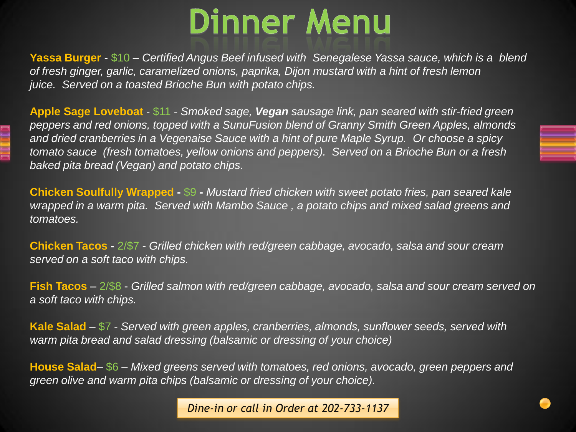## **Dinner Menu**

**Yassa Burger** - \$10 *– Certified Angus Beef infused with Senegalese Yassa sauce, which is a blend of fresh ginger, garlic, caramelized onions, paprika, Dijon mustard with a hint of fresh lemon juice. Served on a toasted Brioche Bun with potato chips.* 

**Apple Sage Loveboat** - \$11 - *Smoked sage, Vegan sausage link, pan seared with stir-fried green peppers and red onions, topped with a SunuFusion blend of Granny Smith Green Apples, almonds and dried cranberries in a Vegenaise Sauce with a hint of pure Maple Syrup. Or choose a spicy tomato sauce (fresh tomatoes, yellow onions and peppers). Served on a Brioche Bun or a fresh baked pita bread (Vegan) and potato chips.*

**Chicken Soulfully Wrapped -** \$9 **-** *Mustard fried chicken with sweet potato fries, pan seared kale wrapped in a warm pita. Served with Mambo Sauce , a potato chips and mixed salad greens and tomatoes.* 

**Chicken Tacos -** 2/\$7 - *Grilled chicken with red/green cabbage, avocado, salsa and sour cream served on a soft taco with chips.*

**Fish Tacos** – 2/\$8 - *Grilled salmon with red/green cabbage, avocado, salsa and sour cream served on a soft taco with chips.*

**Kale Salad** – \$7 - *Served with green apples, cranberries, almonds, sunflower seeds, served with warm pita bread and salad dressing (balsamic or dressing of your choice)* 

**House Salad**– \$6 – *Mixed greens served with tomatoes, red onions, avocado, green peppers and green olive and warm pita chips (balsamic or dressing of your choice).* 

*Dine-in or call in Order at 202-733-1137*